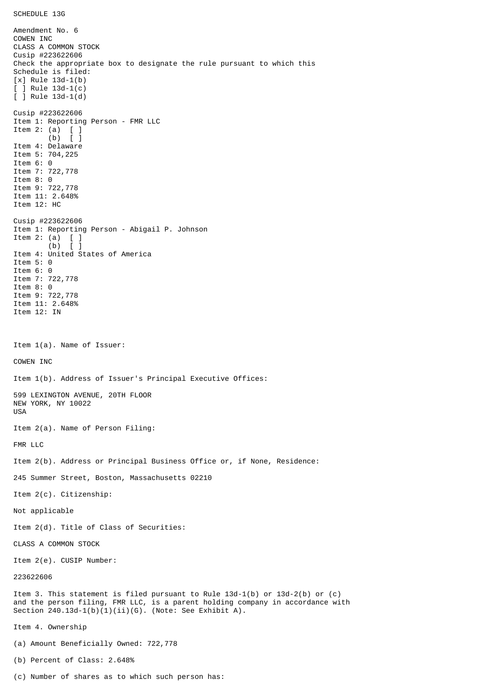Amendment No. 6 COWEN INC CLASS A COMMON STOCK Cusip #223622606 Check the appropriate box to designate the rule pursuant to which this Schedule is filed: [x] Rule 13d-1(b) [ ] Rule 13d-1(c) [ ] Rule 13d-1(d) Cusip #223622606 Item 1: Reporting Person - FMR LLC Item 2: (a) [ ] (b) [ ] Item 4: Delaware Item 5: 704,225 Item 6: 0 Item 7: 722,778 Item 8: 0 Item 9: 722,778 Item 11: 2.648% Item 12: HC Cusip #223622606 Item 1: Reporting Person - Abigail P. Johnson Item 2: (a)  $\begin{bmatrix} 1 \\ 0 \end{bmatrix}$  $(b)$ Item 4: United States of America Item 5: 0 Item 6: 0 Item 7: 722,778 Item 8: 0 Item 9: 722,778 Item 11: 2.648% Item 12: IN Item 1(a). Name of Issuer: COWEN INC Item 1(b). Address of Issuer's Principal Executive Offices: 599 LEXINGTON AVENUE, 20TH FLOOR NEW YORK, NY 10022 USA Item 2(a). Name of Person Filing: FMR LLC Item 2(b). Address or Principal Business Office or, if None, Residence: 245 Summer Street, Boston, Massachusetts 02210 Item 2(c). Citizenship: Not applicable Item 2(d). Title of Class of Securities: CLASS A COMMON STOCK Item 2(e). CUSIP Number: 223622606 Item 3. This statement is filed pursuant to Rule 13d-1(b) or 13d-2(b) or (c) and the person filing, FMR LLC, is a parent holding company in accordance with Section  $240.13d-1(b)(1)(ii)(G)$ . (Note: See Exhibit A). Item 4. Ownership (a) Amount Beneficially Owned: 722,778 (b) Percent of Class: 2.648%

(c) Number of shares as to which such person has: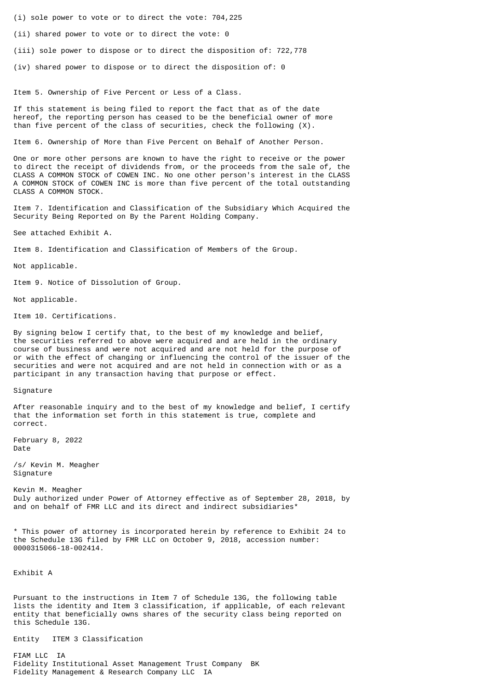- (i) sole power to vote or to direct the vote: 704,225
- (ii) shared power to vote or to direct the vote: 0
- (iii) sole power to dispose or to direct the disposition of: 722,778
- (iv) shared power to dispose or to direct the disposition of: 0

Item 5. Ownership of Five Percent or Less of a Class.

If this statement is being filed to report the fact that as of the date hereof, the reporting person has ceased to be the beneficial owner of more than five percent of the class of securities, check the following (X).

Item 6. Ownership of More than Five Percent on Behalf of Another Person.

One or more other persons are known to have the right to receive or the power to direct the receipt of dividends from, or the proceeds from the sale of, the CLASS A COMMON STOCK of COWEN INC. No one other person's interest in the CLASS A COMMON STOCK of COWEN INC is more than five percent of the total outstanding CLASS A COMMON STOCK.

Item 7. Identification and Classification of the Subsidiary Which Acquired the Security Being Reported on By the Parent Holding Company.

See attached Exhibit A.

Item 8. Identification and Classification of Members of the Group.

Not applicable.

Item 9. Notice of Dissolution of Group.

Not applicable.

Item 10. Certifications.

By signing below I certify that, to the best of my knowledge and belief, the securities referred to above were acquired and are held in the ordinary course of business and were not acquired and are not held for the purpose of or with the effect of changing or influencing the control of the issuer of the securities and were not acquired and are not held in connection with or as a participant in any transaction having that purpose or effect.

## Signature

After reasonable inquiry and to the best of my knowledge and belief, I certify that the information set forth in this statement is true, complete and correct.

February 8, 2022 Date

/s/ Kevin M. Meagher Signature

Kevin M. Meagher Duly authorized under Power of Attorney effective as of September 28, 2018, by and on behalf of FMR LLC and its direct and indirect subsidiaries\*

\* This power of attorney is incorporated herein by reference to Exhibit 24 to the Schedule 13G filed by FMR LLC on October 9, 2018, accession number: 0000315066-18-002414.

Exhibit A

Pursuant to the instructions in Item 7 of Schedule 13G, the following table lists the identity and Item 3 classification, if applicable, of each relevant entity that beneficially owns shares of the security class being reported on this Schedule 13G.

Entity ITEM 3 Classification

FIAM LLC IA Fidelity Institutional Asset Management Trust Company BK Fidelity Management & Research Company LLC IA